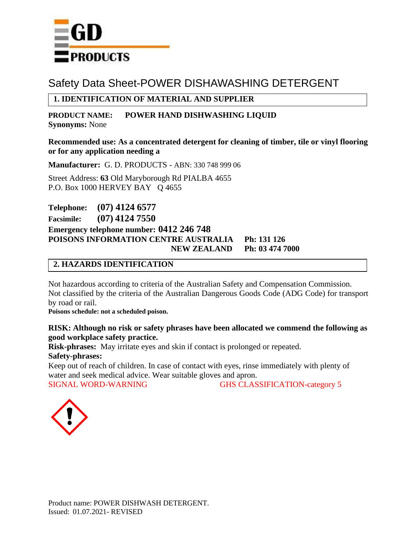

# Safety Data Sheet-POWER DISHAWASHING DETERGENT

# **1. IDENTIFICATION OF MATERIAL AND SUPPLIER**

**PRODUCT NAME: POWER HAND DISHWASHING LIQUID Synonyms:** None

## **Recommended use: As a concentrated detergent for cleaning of timber, tile or vinyl flooring or for any application needing a**

**Manufacturer:** G. D. PRODUCTS - ABN: 330 748 999 06

Street Address: **63** Old Maryborough Rd PIALBA 4655 P.O. Box 1000 HERVEY BAY Q 4655

**Telephone: (07) 4124 6577 Facsimile: (07) 4124 7550**

**Emergency telephone number: 0412 246 748 POISONS INFORMATION CENTRE AUSTRALIA Ph: 131 126 NEW ZEALAND Ph: 03 474 7000**

# **2. HAZARDS IDENTIFICATION**

Not hazardous according to criteria of the Australian Safety and Compensation Commission. Not classified by the criteria of the Australian Dangerous Goods Code (ADG Code) for transport by road or rail.

**Poisons schedule: not a scheduled poison.**

# **RISK: Although no risk or safety phrases have been allocated we commend the following as good workplace safety practice.**

**Risk-phrases:** May irritate eyes and skin if contact is prolonged or repeated. **Safety-phrases:** 

Keep out of reach of children. In case of contact with eyes, rinse immediately with plenty of water and seek medical advice. Wear suitable gloves and apron. SIGNAL WORD-WARNING GHS CLASSIFICATION-category 5

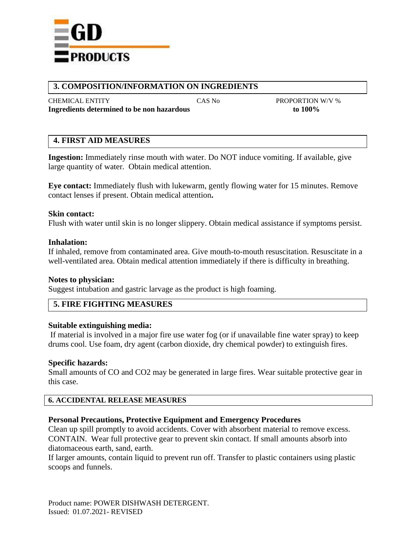

# **3. COMPOSITION/INFORMATION ON INGREDIENTS**

CHEMICAL ENTITY CAS No PROPORTION W/V % **Ingredients determined to be non hazardous to 100%**

# **4. FIRST AID MEASURES**

**Ingestion:** Immediately rinse mouth with water. Do NOT induce vomiting. If available, give large quantity of water. Obtain medical attention.

**Eye contact:** Immediately flush with lukewarm, gently flowing water for 15 minutes. Remove contact lenses if present. Obtain medical attention**.**

## **Skin contact:**

Flush with water until skin is no longer slippery. Obtain medical assistance if symptoms persist.

## **Inhalation:**

If inhaled, remove from contaminated area. Give mouth-to-mouth resuscitation. Resuscitate in a well-ventilated area. Obtain medical attention immediately if there is difficulty in breathing.

## **Notes to physician:**

Suggest intubation and gastric larvage as the product is high foaming.

# **5. FIRE FIGHTING MEASURES**

## **Suitable extinguishing media:**

If material is involved in a major fire use water fog (or if unavailable fine water spray) to keep drums cool. Use foam, dry agent (carbon dioxide, dry chemical powder) to extinguish fires.

## **Specific hazards:**

Small amounts of CO and CO2 may be generated in large fires. Wear suitable protective gear in this case.

## **6. ACCIDENTAL RELEASE MEASURES**

## **Personal Precautions, Protective Equipment and Emergency Procedures**

Clean up spill promptly to avoid accidents. Cover with absorbent material to remove excess. CONTAIN. Wear full protective gear to prevent skin contact. If small amounts absorb into diatomaceous earth, sand, earth.

If larger amounts, contain liquid to prevent run off. Transfer to plastic containers using plastic scoops and funnels.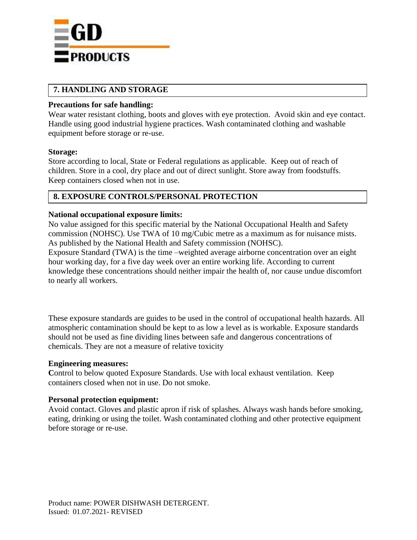

# **7. HANDLING AND STORAGE**

## **Precautions for safe handling:**

Wear water resistant clothing, boots and gloves with eye protection. Avoid skin and eye contact. Handle using good industrial hygiene practices. Wash contaminated clothing and washable equipment before storage or re-use.

## **Storage:**

Store according to local, State or Federal regulations as applicable. Keep out of reach of children. Store in a cool, dry place and out of direct sunlight. Store away from foodstuffs. Keep containers closed when not in use.

# **8. EXPOSURE CONTROLS/PERSONAL PROTECTION**

## **National occupational exposure limits:**

No value assigned for this specific material by the National Occupational Health and Safety commission (NOHSC). Use TWA of 10 mg/Cubic metre as a maximum as for nuisance mists. As published by the National Health and Safety commission (NOHSC).

Exposure Standard (TWA) is the time –weighted average airborne concentration over an eight hour working day, for a five day week over an entire working life. According to current knowledge these concentrations should neither impair the health of, nor cause undue discomfort to nearly all workers.

These exposure standards are guides to be used in the control of occupational health hazards. All atmospheric contamination should be kept to as low a level as is workable. Exposure standards should not be used as fine dividing lines between safe and dangerous concentrations of chemicals. They are not a measure of relative toxicity

## **Engineering measures:**

Control to below quoted Exposure Standards. Use with local exhaust ventilation. Keep containers closed when not in use. Do not smoke.

# **Personal protection equipment:**

Avoid contact. Gloves and plastic apron if risk of splashes. Always wash hands before smoking, eating, drinking or using the toilet. Wash contaminated clothing and other protective equipment before storage or re-use.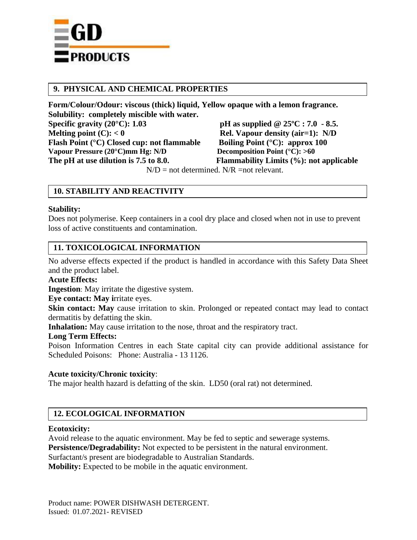

# **9. PHYSICAL AND CHEMICAL PROPERTIES**

**Form/Colour/Odour: viscous (thick) liquid, Yellow opaque with a lemon fragrance.** Solubility: completely miscible with water.<br>Specific gravity (20<sup>o</sup>C): 1.03 **pH** as supplied @  $25^{\circ}$ C **:** 7.0 - 8.5. **Melting point (C):**  $< 0$  **Rel. Vapour density (air=1):** N/D **Flash Point (°C) Closed cup: not flammable Boiling Point (°C): approx 100**<br>Vapour Pressure (20°C)mm Hg: N/D Decomposition Point (°C): >60 **Vapour Pressure (20°C)mm Hg: N/D The pH at use dilution is 7.5 to 8.0. Flammability Limits (%): not applicable**

 $N/D$  = not determined.  $N/R$  =not relevant.

# **10. STABILITY AND REACTIVITY**

## **Stability:**

Does not polymerise. Keep containers in a cool dry place and closed when not in use to prevent loss of active constituents and contamination.

# **11. TOXICOLOGICAL INFORMATION**

No adverse effects expected if the product is handled in accordance with this Safety Data Sheet and the product label.

## **Acute Effects:**

**Ingestion**: May irritate the digestive system.

**Eye contact: May i**rritate eyes.

**Skin contact:** May cause irritation to skin. Prolonged or repeated contact may lead to contact dermatitis by defatting the skin.

**Inhalation:** May cause irritation to the nose, throat and the respiratory tract.

## **Long Term Effects:**

Poison Information Centres in each State capital city can provide additional assistance for Scheduled Poisons: Phone: Australia - 13 1126.

## **Acute toxicity/Chronic toxicity**:

The major health hazard is defatting of the skin. LD50 (oral rat) not determined.

# **12. ECOLOGICAL INFORMATION**

## **Ecotoxicity:**

Avoid release to the aquatic environment. May be fed to septic and sewerage systems. **Persistence/Degradability:** Not expected to be persistent in the natural environment. Surfactant/s present are biodegradable to Australian Standards.

**Mobility:** Expected to be mobile in the aquatic environment.